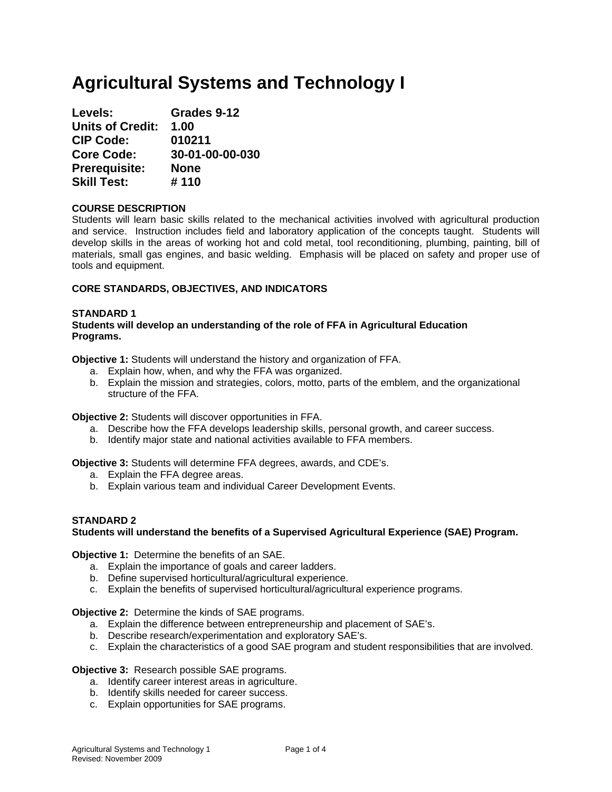# **Agricultural Systems and Technology I**

| Levels:                 | Grades 9-12     |
|-------------------------|-----------------|
| <b>Units of Credit:</b> | 1.00            |
| <b>CIP Code:</b>        | 010211          |
| <b>Core Code:</b>       | 30-01-00-00-030 |
| <b>Prerequisite:</b>    | <b>None</b>     |
| <b>Skill Test:</b>      | #110            |

# **COURSE DESCRIPTION**

Students will learn basic skills related to the mechanical activities involved with agricultural production and service. Instruction includes field and laboratory application of the concepts taught. Students will develop skills in the areas of working hot and cold metal, tool reconditioning, plumbing, painting, bill of materials, small gas engines, and basic welding. Emphasis will be placed on safety and proper use of tools and equipment.

# **CORE STANDARDS, OBJECTIVES, AND INDICATORS**

#### **STANDARD 1 Students will develop an understanding of the role of FFA in Agricultural Education Programs.**

**Objective 1:** Students will understand the history and organization of FFA.

- a. Explain how, when, and why the FFA was organized.
- b. Explain the mission and strategies, colors, motto, parts of the emblem, and the organizational structure of the FFA.

**Objective 2:** Students will discover opportunities in FFA.

- a. Describe how the FFA develops leadership skills, personal growth, and career success.
- b. Identify major state and national activities available to FFA members.

**Objective 3:** Students will determine FFA degrees, awards, and CDE's.

- a. Explain the FFA degree areas.
- b. Explain various team and individual Career Development Events.

# **STANDARD 2**

# **Students will understand the benefits of a Supervised Agricultural Experience (SAE) Program.**

**Objective 1:** Determine the benefits of an SAE.

- a. Explain the importance of goals and career ladders.
- b. Define supervised horticultural/agricultural experience.
- c. Explain the benefits of supervised horticultural/agricultural experience programs.

# **Objective 2:** Determine the kinds of SAE programs.

- a. Explain the difference between entrepreneurship and placement of SAE's.
- b. Describe research/experimentation and exploratory SAE's.
- c. Explain the characteristics of a good SAE program and student responsibilities that are involved.

# **Objective 3:** Research possible SAE programs.

- a. Identify career interest areas in agriculture.
- b. Identify skills needed for career success.
- c. Explain opportunities for SAE programs.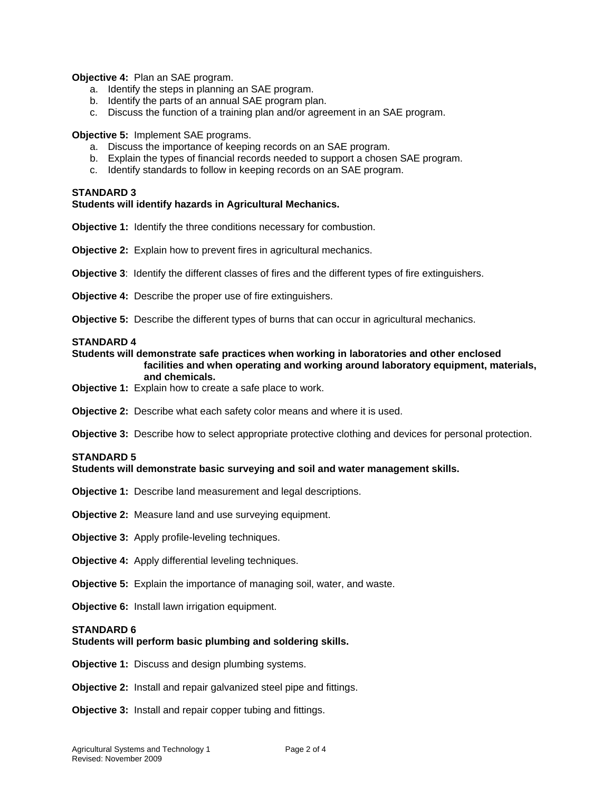**Objective 4:** Plan an SAE program.

- a. Identify the steps in planning an SAE program.
- b. Identify the parts of an annual SAE program plan.
- c. Discuss the function of a training plan and/or agreement in an SAE program.

**Objective 5:** Implement SAE programs.

- a. Discuss the importance of keeping records on an SAE program.
- b. Explain the types of financial records needed to support a chosen SAE program.
- c. Identify standards to follow in keeping records on an SAE program.

#### **STANDARD 3**

# **Students will identify hazards in Agricultural Mechanics.**

**Objective 1:** Identify the three conditions necessary for combustion.

**Objective 2:** Explain how to prevent fires in agricultural mechanics.

**Objective 3**: Identify the different classes of fires and the different types of fire extinguishers.

**Objective 4:** Describe the proper use of fire extinguishers.

**Objective 5:** Describe the different types of burns that can occur in agricultural mechanics.

#### **STANDARD 4**

```
Students will demonstrate safe practices when working in laboratories and other enclosed 
  facilities and when operating and working around laboratory equipment, materials, 
   and chemicals.
```
- **Objective 1:** Explain how to create a safe place to work.
- **Objective 2:** Describe what each safety color means and where it is used.

**Objective 3:** Describe how to select appropriate protective clothing and devices for personal protection.

# **STANDARD 5**

#### **Students will demonstrate basic surveying and soil and water management skills.**

- **Objective 1:** Describe land measurement and legal descriptions.
- **Objective 2:** Measure land and use surveying equipment.
- **Objective 3:** Apply profile-leveling techniques.
- **Objective 4:** Apply differential leveling techniques.
- **Objective 5:** Explain the importance of managing soil, water, and waste.
- **Objective 6:** Install lawn irrigation equipment.

# **STANDARD 6**

# **Students will perform basic plumbing and soldering skills.**

**Objective 1:** Discuss and design plumbing systems.

**Objective 2:** Install and repair galvanized steel pipe and fittings.

**Objective 3:** Install and repair copper tubing and fittings.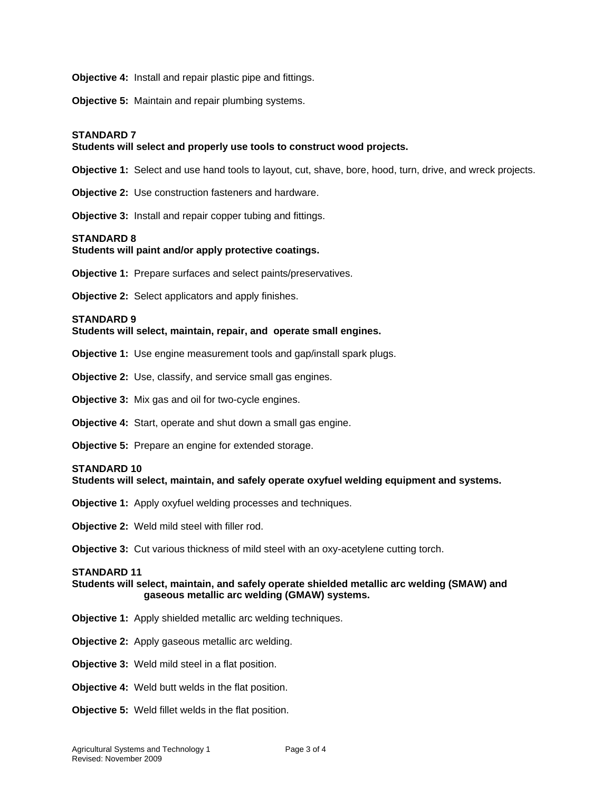**Objective 4:** Install and repair plastic pipe and fittings.

**Objective 5:** Maintain and repair plumbing systems.

#### **STANDARD 7**

# **Students will select and properly use tools to construct wood projects.**

**Objective 1:** Select and use hand tools to layout, cut, shave, bore, hood, turn, drive, and wreck projects.

**Objective 2:** Use construction fasteners and hardware.

**Objective 3:** Install and repair copper tubing and fittings.

#### **STANDARD 8**

# **Students will paint and/or apply protective coatings.**

**Objective 1:** Prepare surfaces and select paints/preservatives.

**Objective 2:** Select applicators and apply finishes.

#### **STANDARD 9**

#### **Students will select, maintain, repair, and operate small engines.**

**Objective 1:** Use engine measurement tools and gap/install spark plugs.

- **Objective 2:** Use, classify, and service small gas engines.
- **Objective 3:** Mix gas and oil for two-cycle engines.
- **Objective 4:** Start, operate and shut down a small gas engine.
- **Objective 5:** Prepare an engine for extended storage.

#### **STANDARD 10**

**Students will select, maintain, and safely operate oxyfuel welding equipment and systems.**

- **Objective 1:** Apply oxyfuel welding processes and techniques.
- **Objective 2:** Weld mild steel with filler rod.

**Objective 3:** Cut various thickness of mild steel with an oxy-acetylene cutting torch.

#### **STANDARD 11**

#### **Students will select, maintain, and safely operate shielded metallic arc welding (SMAW) and gaseous metallic arc welding (GMAW) systems.**

- **Objective 1:** Apply shielded metallic arc welding techniques.
- **Objective 2:** Apply gaseous metallic arc welding.
- **Objective 3:** Weld mild steel in a flat position.
- **Objective 4:** Weld butt welds in the flat position.
- **Objective 5:** Weld fillet welds in the flat position.